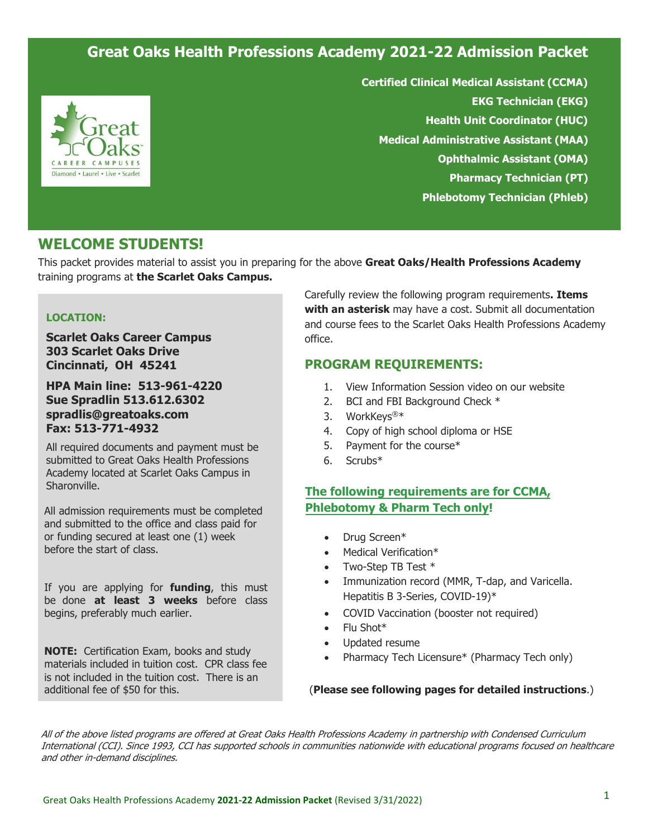# **Great Oaks Health Professions Academy 2021-22 Admission Packet**



**Certified Clinical Medical Assistant (CCMA) EKG Technician (EKG) Health Unit Coordinator (HUC) Medical Administrative Assistant (MAA) Ophthalmic Assistant (OMA) Pharmacy Technician (PT) Phlebotomy Technician (Phleb)** 

# **WELCOME STUDENTS!**

This packet provides material to assist you in preparing for the above **Great Oaks/Health Professions Academy** training programs at **the Scarlet Oaks Campus.**

#### **LOCATION:**

**Scarlet Oaks Career Campus 303 Scarlet Oaks Drive Cincinnati, OH 45241**

**HPA Main line: 513-961-4220 Sue Spradlin 513.612.6302 spradlis@greatoaks.com Fax: 513-771-4932** 

All required documents and payment must be submitted to Great Oaks Health Professions Academy located at Scarlet Oaks Campus in Sharonville.

All admission requirements must be completed and submitted to the office and class paid for or funding secured at least one (1) week before the start of class.

If you are applying for **funding**, this must be done **at least 3 weeks** before class begins, preferably much earlier.

**NOTE:** Certification Exam, books and study materials included in tuition cost. CPR class fee is not included in the tuition cost. There is an additional fee of \$50 for this.

Carefully review the following program requirements**. Items with an asterisk** may have a cost. Submit all documentation and course fees to the Scarlet Oaks Health Professions Academy office.

### **PROGRAM REQUIREMENTS:**

- 1. View Information Session video on our website
- 2. BCI and FBI Background Check \*
- 3. WorkKeys®\*
- 4. Copy of high school diploma or HSE
- 5. Payment for the course\*
- 6. Scrubs\*

### **The following requirements are for CCMA, Phlebotomy & Pharm Tech only!**

- Drug Screen\*
- Medical Verification\*
- Two-Step TB Test \*
- Immunization record (MMR, T-dap, and Varicella. Hepatitis B 3-Series, COVID-19)\*
- COVID Vaccination (booster not required)
- Flu Shot\*
- Updated resume
- Pharmacy Tech Licensure\* (Pharmacy Tech only)

#### (**Please see following pages for detailed instructions**.)

All of the above listed programs are offered at Great Oaks Health Professions Academy in partnership with Condensed Curriculum International (CCI). Since 1993, CCI has supported schools in communities nationwide with educational programs focused on healthcare and other in-demand disciplines.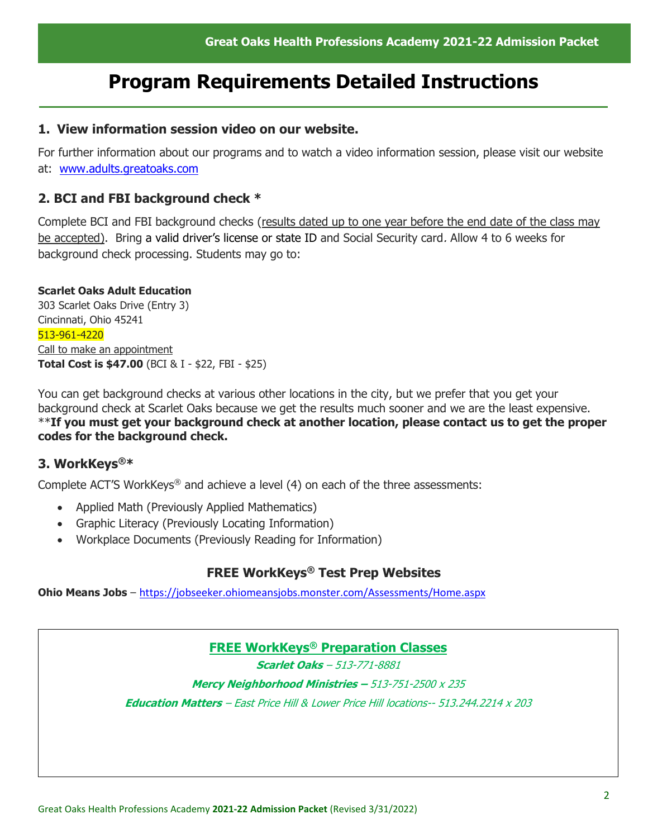# **Program Requirements Detailed Instructions**

# **1. View information session video on our website.**

For further information about our programs and to watch a video information session, please visit our website at: [www.adults.greatoaks.com](http://www.adults.greatoaks.com/)

# **2. BCI and FBI background check \***

Complete BCI and FBI background checks (results dated up to one year before the end date of the class may be accepted). Bring a valid driver's license or state ID and Social Security card. Allow 4 to 6 weeks for background check processing. Students may go to:

### **Scarlet Oaks Adult Education**

303 Scarlet Oaks Drive (Entry 3) Cincinnati, Ohio 45241 513-961-4220 Call to make an appointment **Total Cost is \$47.00** (BCI & I - \$22, FBI - \$25)

You can get background checks at various other locations in the city, but we prefer that you get your background check at Scarlet Oaks because we get the results much sooner and we are the least expensive. \*\***If you must get your background check at another location, please contact us to get the proper codes for the background check.**

# **3. WorkKeys®\***

Complete ACT'S WorkKeys® and achieve a level (4) on each of the three assessments:

- Applied Math (Previously Applied Mathematics)
- Graphic Literacy (Previously Locating Information)
- Workplace Documents (Previously Reading for Information)

# **FREE WorkKeys® Test Prep Websites**

**Ohio Means Jobs** – <https://jobseeker.ohiomeansjobs.monster.com/Assessments/Home.aspx>

# **FREE WorkKeys® Preparation Classes**

**Scarlet Oaks** – 513-771-8881

**Mercy Neighborhood Ministries –** 513-751-2500 x 235

**Education Matters** – East Price Hill & Lower Price Hill locations-- 513.244.2214 x 203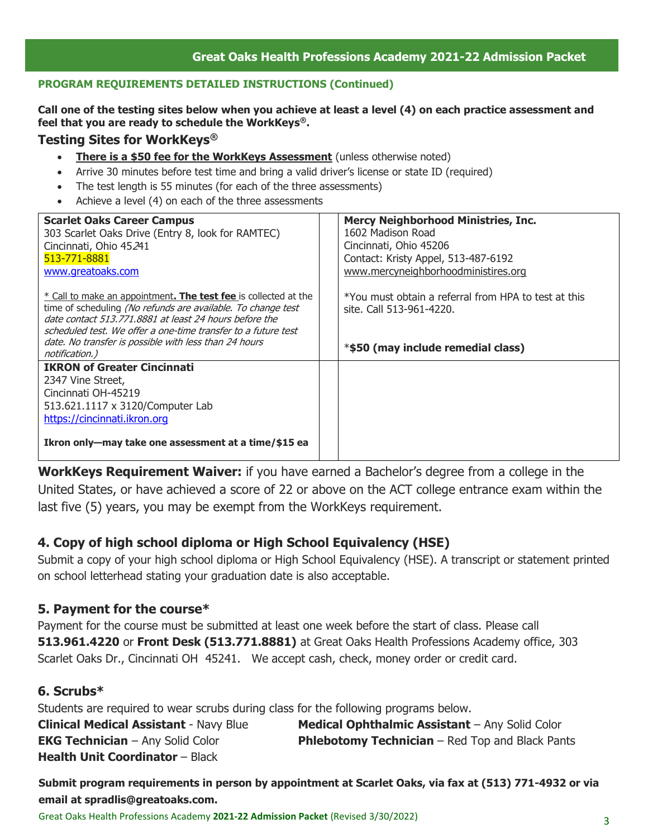### **PROGRAM REQUIREMENTS DETAILED INSTRUCTIONS (Continued)**

**Call one of the testing sites below when you achieve at least a level (4) on each practice assessment and feel that you are ready to schedule the WorkKeys®.**

### **Testing Sites for WorkKeys®**

- **There is a \$50 fee for the WorkKeys Assessment** (unless otherwise noted)
- Arrive 30 minutes before test time and bring a valid driver's license or state ID (required)
- The test length is 55 minutes (for each of the three assessments)
- Achieve a level (4) on each of the three assessments

| <b>Scarlet Oaks Career Campus</b><br>303 Scarlet Oaks Drive (Entry 8, look for RAMTEC)<br>Cincinnati, Ohio 45241<br>513-771-8881                                                                                                                                   | <b>Mercy Neighborhood Ministries, Inc.</b><br>1602 Madison Road<br>Cincinnati, Ohio 45206<br>Contact: Kristy Appel, 513-487-6192 |
|--------------------------------------------------------------------------------------------------------------------------------------------------------------------------------------------------------------------------------------------------------------------|----------------------------------------------------------------------------------------------------------------------------------|
| www.greatoaks.com<br>* Call to make an appointment. The test fee is collected at the                                                                                                                                                                               | www.mercyneighborhoodministires.org<br>*You must obtain a referral from HPA to test at this                                      |
| time of scheduling (No refunds are available. To change test<br>date contact 513,771,8881 at least 24 hours before the<br>scheduled test. We offer a one-time transfer to a future test<br>date. No transfer is possible with less than 24 hours<br>notification.) | site. Call 513-961-4220.<br>*\$50 (may include remedial class)                                                                   |
| <b>IKRON of Greater Cincinnati</b>                                                                                                                                                                                                                                 |                                                                                                                                  |
| 2347 Vine Street,<br>Cincinnati OH-45219                                                                                                                                                                                                                           |                                                                                                                                  |
| 513.621.1117 x 3120/Computer Lab                                                                                                                                                                                                                                   |                                                                                                                                  |
| https://cincinnati.ikron.org                                                                                                                                                                                                                                       |                                                                                                                                  |
| Ikron only-may take one assessment at a time/\$15 ea                                                                                                                                                                                                               |                                                                                                                                  |

**WorkKeys Requirement Waiver:** if you have earned a Bachelor's degree from a college in the United States, or have achieved a score of 22 or above on the ACT college entrance exam within the last five (5) years, you may be exempt from the WorkKeys requirement.

# **4. Copy of high school diploma or High School Equivalency (HSE)**

Submit a copy of your high school diploma or High School Equivalency (HSE). A transcript or statement printed on school letterhead stating your graduation date is also acceptable.

# **5. Payment for the course\***

Payment for the course must be submitted at least one week before the start of class. Please call **513.961.4220** or **Front Desk (513.771.8881)** at Great Oaks Health Professions Academy office, 303 Scarlet Oaks Dr., Cincinnati OH 45241. We accept cash, check, money order or credit card.

# **6. Scrubs\***

Students are required to wear scrubs during class for the following programs below. **Medical Ophthalmic Assistant** – Any Solid Color **Phlebotomy Technician** – Red Top and Black Pants **Clinical Medical Assistant** - Navy Blue **EKG Technician** – Any Solid Color **Health Unit [Coordinator](mailto:baldwinc@greatoaks.com) - Black** 

**Submit program requirements in person by appointment at Scarlet Oaks, via fax at (513) 771-4932 or via email at spradlis@greatoaks.com.** Great Oaks Health Professions Academy **2021-22 Admission Packet** (Revised 3/30/2022)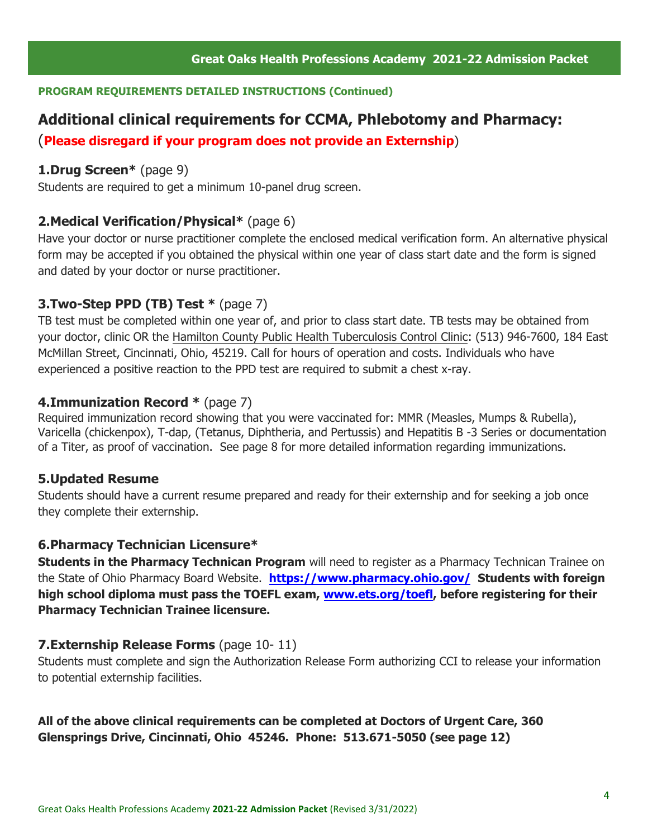#### **PROGRAM REQUIREMENTS DETAILED INSTRUCTIONS (Continued)**

# **Additional clinical requirements for CCMA, Phlebotomy and Pharmacy:**

(**Please disregard if your program does not provide an Externship**)

# **1.Drug Screen\*** (page 9)

Students are required to get a minimum 10-panel drug screen.

### **2.Medical Verification/Physical\*** (page 6)

Have your doctor or nurse practitioner complete the enclosed medical verification form. An alternative physical form may be accepted if you obtained the physical within one year of class start date and the form is signed and dated by your doctor or nurse practitioner.

# **3.Two-Step PPD (TB) Test \*** (page 7)

TB test must be completed within one year of, and prior to class start date. TB tests may be obtained from your doctor, clinic OR the Hamilton County Public Health Tuberculosis Control Clinic: (513) 946-7600, 184 East McMillan Street, Cincinnati, Ohio, 45219. Call for hours of operation and costs. Individuals who have experienced a positive reaction to the PPD test are required to submit a chest x-ray.

### **4.Immunization Record \*** (page 7)

Required immunization record showing that you were vaccinated for: MMR (Measles, Mumps & Rubella), Varicella (chickenpox), T-dap, (Tetanus, Diphtheria, and Pertussis) and Hepatitis B -3 Series or documentation of a Titer, as proof of vaccination. See page 8 for more detailed information regarding immunizations.

### **5.Updated Resume**

Students should have a current resume prepared and ready for their externship and for seeking a job once they complete their externship.

### **6.Pharmacy Technician Licensure\***

**Students in the Pharmacy Technican Program** will need to register as a Pharmacy Technican Trainee on the State of Ohio Pharmacy Board Website. **<https://www.pharmacy.ohio.gov/> Students with foreign high school diploma must pass the TOEFL exam, [www.ets.org/toefl,](http://www.ets.org/toefl) before registering for their Pharmacy Technician Trainee licensure.**

### **7.Externship Release Forms** (page 10- 11)

Students must complete and sign the Authorization Release Form authorizing CCI to release your information to potential externship facilities.

# **All of the above clinical requirements can be completed at Doctors of Urgent Care, 360 Glensprings Drive, Cincinnati, Ohio 45246. Phone: 513.671-5050 (see page 12)**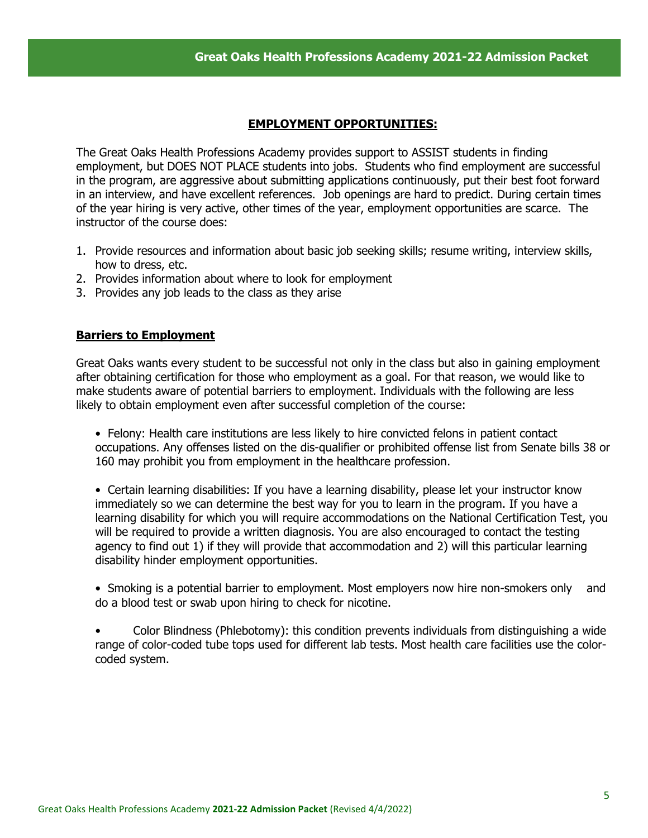### **EMPLOYMENT OPPORTUNITIES:**

The Great Oaks Health Professions Academy provides support to ASSIST students in finding employment, but DOES NOT PLACE students into jobs. Students who find employment are successful in the program, are aggressive about submitting applications continuously, put their best foot forward in an interview, and have excellent references. Job openings are hard to predict. During certain times of the year hiring is very active, other times of the year, employment opportunities are scarce. The instructor of the course does:

- 1. Provide resources and information about basic job seeking skills; resume writing, interview skills, how to dress, etc.
- 2. Provides information about where to look for employment
- 3. Provides any job leads to the class as they arise

### **Barriers to Employment**

Great Oaks wants every student to be successful not only in the class but also in gaining employment after obtaining certification for those who employment as a goal. For that reason, we would like to make students aware of potential barriers to employment. Individuals with the following are less likely to obtain employment even after successful completion of the course:

• Felony: Health care institutions are less likely to hire convicted felons in patient contact occupations. Any offenses listed on the dis-qualifier or prohibited offense list from Senate bills 38 or 160 may prohibit you from employment in the healthcare profession.

• Certain learning disabilities: If you have a learning disability, please let your instructor know immediately so we can determine the best way for you to learn in the program. If you have a learning disability for which you will require accommodations on the National Certification Test, you will be required to provide a written diagnosis. You are also encouraged to contact the testing agency to find out 1) if they will provide that accommodation and 2) will this particular learning disability hinder employment opportunities.

• Smoking is a potential barrier to employment. Most employers now hire non-smokers only and do a blood test or swab upon hiring to check for nicotine.

• Color Blindness (Phlebotomy): this condition prevents individuals from distinguishing a wide range of color-coded tube tops used for different lab tests. Most health care facilities use the colorcoded system.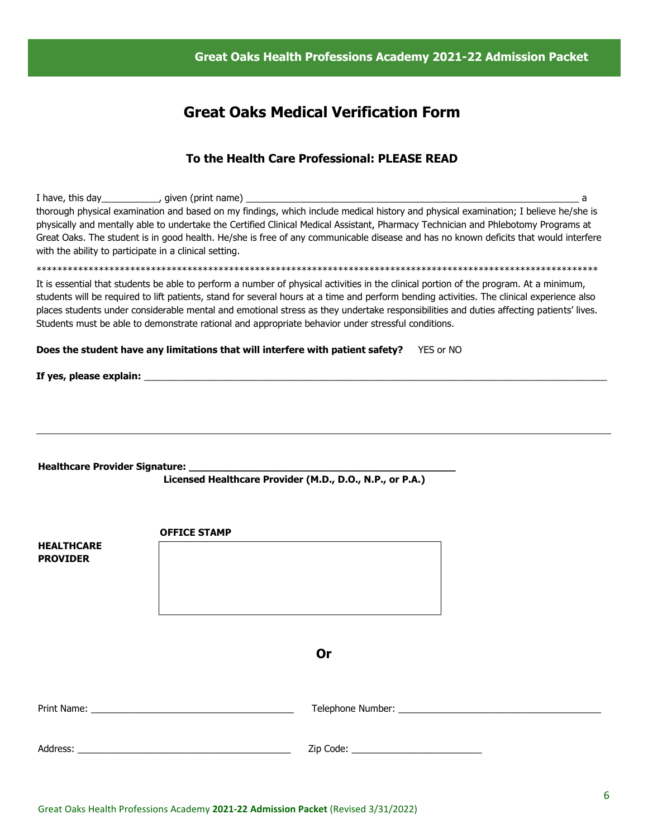#### **Great Oaks Health Professions Academy 2021-22 Admission Packet**

# **Great Oaks Medical Verification Form**

#### **To the Health Care Professional: PLEASE READ**

I have, this day\_\_\_\_\_\_\_\_\_\_\_, given (print name) \_\_\_\_\_\_\_\_\_\_\_\_\_\_\_\_\_\_\_\_\_\_\_\_\_\_\_\_\_\_\_\_\_\_\_\_\_\_\_\_\_\_\_\_\_\_\_\_\_\_\_\_\_\_\_\_\_\_\_\_\_\_\_\_ a thorough physical examination and based on my findings, which include medical history and physical examination; I believe he/she is physically and mentally able to undertake the Certified Clinical Medical Assistant, Pharmacy Technician and Phlebotomy Programs at Great Oaks. The student is in good health. He/she is free of any communicable disease and has no known deficits that would interfere with the ability to participate in a clinical setting. \*\*\*\*\*\*\*\*\*\*\*\*\*\*\*\*\*\*\*\*\*\*\*\*\*\*\*\*\*\*\*\*\*\*\*\*\*\*\*\*\*\*\*\*\*\*\*\*\*\*\*\*\*\*\*\*\*\*\*\*\*\*\*\*\*\*\*\*\*\*\*\*\*\*\*\*\*\*\*\*\*\*\*\*\*\*\*\*\*\*\*\*\*\*\*\*\*\*\*\*\*\*\*\*\*\*\*\* It is essential that students be able to perform a number of physical activities in the clinical portion of the program. At a minimum, students will be required to lift patients, stand for several hours at a time and perform bending activities. The clinical experience also places students under considerable mental and emotional stress as they undertake responsibilities and duties affecting patients' lives. Students must be able to demonstrate rational and appropriate behavior under stressful conditions. **Does the student have any limitations that will interfere with patient safety?** YES or NO **If yes, please explain:** \_\_\_\_\_\_\_\_\_\_\_\_\_\_\_\_\_\_\_\_\_\_\_\_\_\_\_\_\_\_\_\_\_\_\_\_\_\_\_\_\_\_\_\_\_\_\_\_\_\_\_\_\_\_\_\_\_\_\_\_\_\_\_\_\_\_\_\_\_\_\_\_\_\_\_\_\_\_\_\_\_\_\_\_\_\_\_\_\_ **Healthcare Provider Signature: \_\_\_\_\_\_\_\_\_\_\_\_\_\_\_\_\_\_\_\_\_\_\_\_\_\_\_\_\_\_\_\_\_\_\_\_\_\_\_\_\_\_\_\_ Licensed Healthcare Provider (M.D., D.O., N.P., or P.A.) OFFICE STAMP HEALTHCARE PROVIDER Or** Print Name: \_\_\_\_\_\_\_\_\_\_\_\_\_\_\_\_\_\_\_\_\_\_\_\_\_\_\_\_\_\_\_\_\_\_\_\_\_\_\_ Telephone Number: \_\_\_\_\_\_\_\_\_\_\_\_\_\_\_\_\_\_\_\_\_\_\_\_\_\_\_\_\_\_\_\_\_\_\_\_\_\_\_ Address: \_\_\_\_\_\_\_\_\_\_\_\_\_\_\_\_\_\_\_\_\_\_\_\_\_\_\_\_\_\_\_\_\_\_\_\_\_\_\_\_\_ Zip Code: \_\_\_\_\_\_\_\_\_\_\_\_\_\_\_\_\_\_\_\_\_\_\_\_\_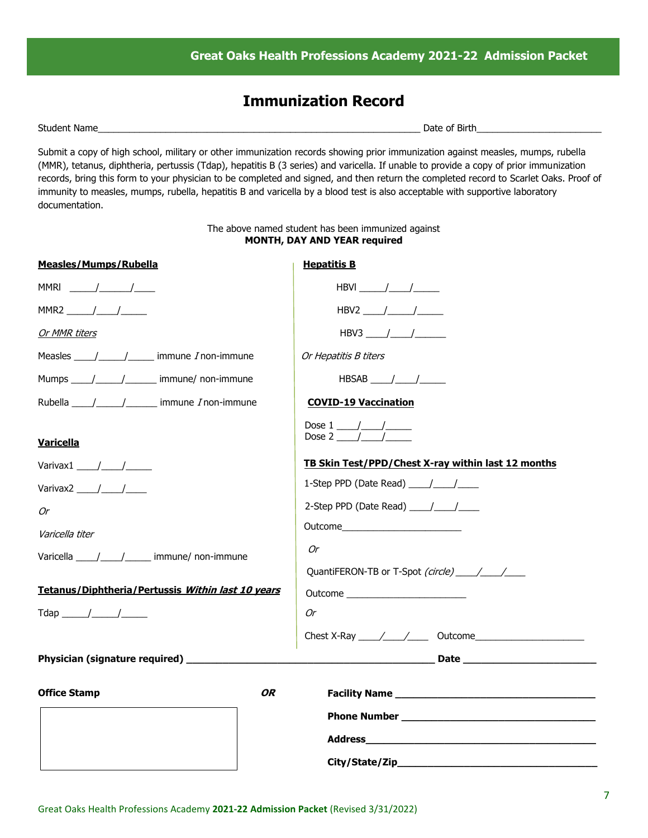# **Immunization Record**

Student Name\_\_\_\_\_\_\_\_\_\_\_\_\_\_\_\_\_\_\_\_\_\_\_\_\_\_\_\_\_\_\_\_\_\_\_\_\_\_\_\_\_\_\_\_\_\_\_\_\_\_\_\_\_\_\_\_\_\_\_\_\_\_ Date of Birth\_\_\_\_\_\_\_\_\_\_\_\_\_\_\_\_\_\_\_\_\_\_\_\_

Submit a copy of high school, military or other immunization records showing prior immunization against measles, mumps, rubella (MMR), tetanus, diphtheria, pertussis (Tdap), hepatitis B (3 series) and varicella. If unable to provide a copy of prior immunization records, bring this form to your physician to be completed and signed, and then return the completed record to Scarlet Oaks. Proof of immunity to measles, mumps, rubella, hepatitis B and varicella by a blood test is also acceptable with supportive laboratory documentation.

#### The above named student has been immunized against **MONTH, DAY AND YEAR required**

| <b>Hepatitis B</b>                                                                                                                                                                                                                   |
|--------------------------------------------------------------------------------------------------------------------------------------------------------------------------------------------------------------------------------------|
| HBVI $\frac{1}{\sqrt{1-\frac{1}{2}}}\frac{1}{\sqrt{1-\frac{1}{2}}\sqrt{1-\frac{1}{2}}\sqrt{1-\frac{1}{2}}\sqrt{1-\frac{1}{2}}$                                                                                                       |
|                                                                                                                                                                                                                                      |
| HBV3 $\frac{\frac{1}{2}}{\frac{1}{2}}$                                                                                                                                                                                               |
| Or Hepatitis B titers                                                                                                                                                                                                                |
| HBSAB $\frac{\ }{\ }$                                                                                                                                                                                                                |
| <b>COVID-19 Vaccination</b>                                                                                                                                                                                                          |
| Dose $1 \_/\_/\_$<br>Dose 2 $/$ /                                                                                                                                                                                                    |
| TB Skin Test/PPD/Chest X-ray within last 12 months                                                                                                                                                                                   |
| 1-Step PPD (Date Read) $\frac{1}{\sqrt{1-\frac{1}{2}}}$                                                                                                                                                                              |
| 2-Step PPD (Date Read) $\frac{1}{\sqrt{2}}$                                                                                                                                                                                          |
| Outcome <b>contract the contract of the contract of the contract of the contract of the contract of the contract of the contract of the contract of the contract of the contract of the contract of the contract of the contract</b> |
| Or                                                                                                                                                                                                                                   |
| QuantiFERON-TB or T-Spot (circle) / /                                                                                                                                                                                                |
| 0r                                                                                                                                                                                                                                   |
|                                                                                                                                                                                                                                      |
|                                                                                                                                                                                                                                      |
|                                                                                                                                                                                                                                      |
|                                                                                                                                                                                                                                      |
|                                                                                                                                                                                                                                      |
|                                                                                                                                                                                                                                      |
|                                                                                                                                                                                                                                      |
|                                                                                                                                                                                                                                      |